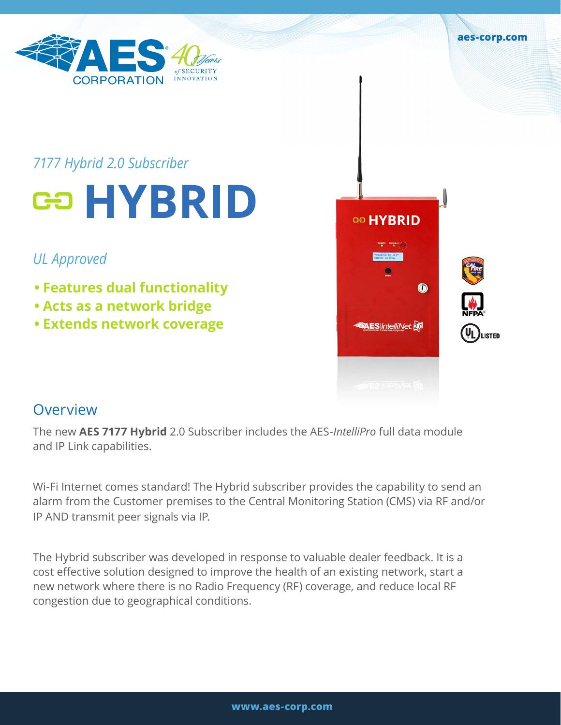

## *7177 Hybrid 2.0 Subscriber*

# **ca HYBRID**

## *UL Approved*

- **Features dual functionality**
- **Acts as a network bridge**
- **Extends network coverage**



**aes-corp.com**

## **Overview**

The new **AES 7177 Hybrid** 2.0 Subscriber includes the AES-*IntelliPro* full data module and IP Link capabilities.

Wi-Fi Internet comes standard! The Hybrid subscriber provides the capability to send an alarm from the Customer premises to the Central Monitoring Station (CMS) via RF and/or IP AND transmit peer signals via IP.

The Hybrid subscriber was developed in response to valuable dealer feedback. It is a cost effective solution designed to improve the health of an existing network, start a new network where there is no Radio Frequency (RF) coverage, and reduce local RF congestion due to geographical conditions.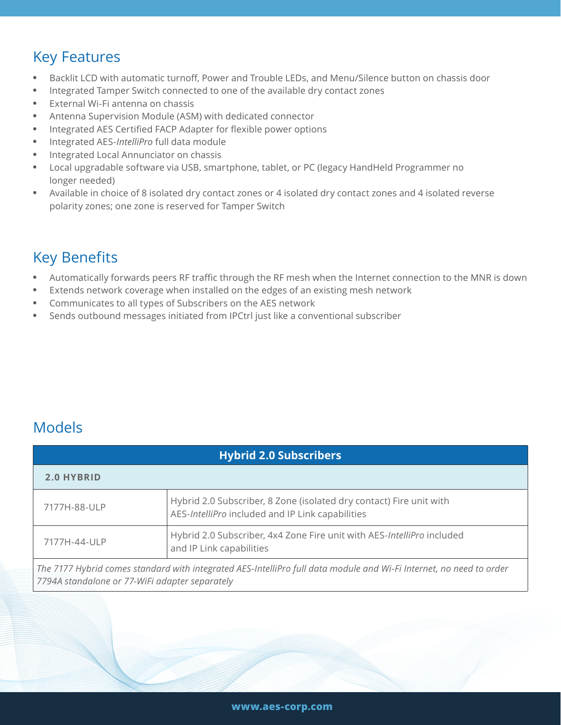## Key Features

- Backlit LCD with automatic turnoff, Power and Trouble LEDs, and Menu/Silence button on chassis door
- Integrated Tamper Switch connected to one of the available dry contact zones
- External Wi-Fi antenna on chassis
- Antenna Supervision Module (ASM) with dedicated connector
- Integrated AES Certified FACP Adapter for flexible power options
- Integrated AES-*IntelliPro* full data module
- Integrated Local Annunciator on chassis
- Local upgradable software via USB, smartphone, tablet, or PC (legacy HandHeld Programmer no longer needed)
- Available in choice of 8 isolated dry contact zones or 4 isolated dry contact zones and 4 isolated reverse polarity zones; one zone is reserved for Tamper Switch

## Key Benefits

- Automatically forwards peers RF traffic through the RF mesh when the Internet connection to the MNR is down
- Extends network coverage when installed on the edges of an existing mesh network
- Communicates to all types of Subscribers on the AES network
- Sends outbound messages initiated from IPCtrl just like a conventional subscriber

## Models

| <b>Hybrid 2.0 Subscribers</b>                                                                                                                                         |                                                                                                                         |
|-----------------------------------------------------------------------------------------------------------------------------------------------------------------------|-------------------------------------------------------------------------------------------------------------------------|
| 2.0 HYBRID                                                                                                                                                            |                                                                                                                         |
| 7177H-88-ULP                                                                                                                                                          | Hybrid 2.0 Subscriber, 8 Zone (isolated dry contact) Fire unit with<br>AES-IntelliPro included and IP Link capabilities |
| 7177H-44-ULP                                                                                                                                                          | Hybrid 2.0 Subscriber, 4x4 Zone Fire unit with AES-IntelliPro included<br>and IP Link capabilities                      |
| The 7177 Hybrid comes standard with integrated AES-IntelliPro full data module and Wi-Fi Internet, no need to order<br>7794A standalone or 77-WiFi adapter separately |                                                                                                                         |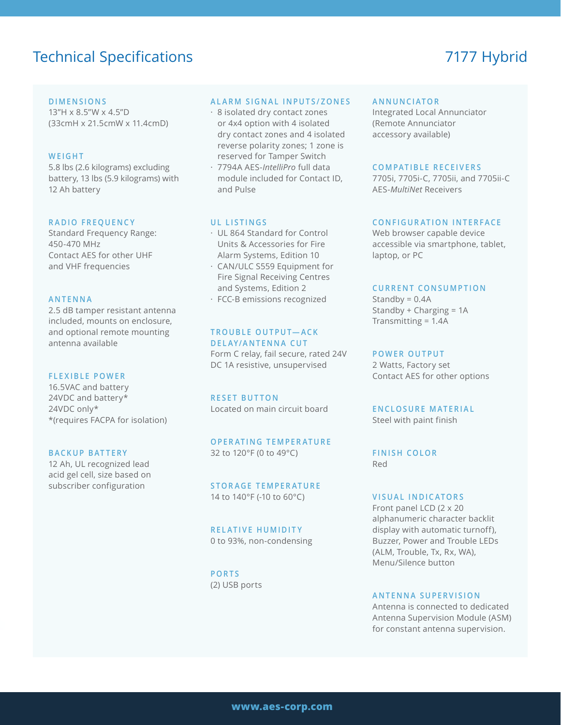## Technical Specifications 7177 Hybrid

#### **DIMENSIONS**

13"H x 8.5"W x 4.5"D (33cmH x 21.5cmW x 11.4cmD)

#### **WEIGHT**

5.8 lbs (2.6 kilograms) excluding battery, 13 lbs (5.9 kilograms) with 12 Ah battery

#### **RADIO FREQUENCY**

Standard Frequency Range: 450-470 MHz Contact AES for other UHF and VHF frequencies

#### **ANTENNA**

2.5 dB tamper resistant antenna included, mounts on enclosure, and optional remote mounting antenna available

#### **FLEXIBLE POWER**

16.5VAC and battery 24VDC and battery\* 24VDC only\* \*(requires FACPA for isolation)

#### **BACKUP BATTERY**

12 Ah, UL recognized lead acid gel cell, size based on subscriber configuration

#### **ALARM SIGNAL INPUTS/ZONES**

- · 8 isolated dry contact zones or 4x4 option with 4 isolated dry contact zones and 4 isolated reverse polarity zones; 1 zone is reserved for Tamper Switch
- · 7794A AES-*IntelliPro* full data module included for Contact ID, and Pulse

#### **UL LISTINGS**

- · UL 864 Standard for Control Units & Accessories for Fire Alarm Systems, Edition 10
- · CAN/ULC S559 Equipment for Fire Signal Receiving Centres and Systems, Edition 2
- · FCC-B emissions recognized

#### **T R O U B L E O U T P U T— A C K DELAY/ANTENNA CUT**

Form C relay, fail secure, rated 24V DC 1A resistive, unsupervised

**RESET BUTTON** Located on main circuit board

**OPERATING TEMPERATURE** 32 to 120°F (0 to 49°C)

**STORAGE TEMPERATURE** 14 to 140°F (-10 to 60°C)

### **RELATIVE HUMIDITY**

0 to 93%, non-condensing

**PORTS** (2) USB ports

#### **ANNUNCIATOR**

Integrated Local Annunciator (Remote Annunciator accessory available)

#### **COMPATIBLE RECEIVERS**

7705i, 7705i-C, 7705ii, and 7705ii-C AES-*MultiNet* Receivers

#### **CONFIGURATION INTERFACE**

Web browser capable device accessible via smartphone, tablet, laptop, or PC

#### **CURRENT CONSUMPTION**

Standby =  $0.4A$ Standby + Charging = 1A Transmitting = 1.4A

#### **POWER OUTPUT**

2 Watts, Factory set Contact AES for other options

#### **ENCLOSURE MATERIAL**

Steel with paint finish

**FINISH COLOR** Red

#### **VISUAL INDICATORS**

Front panel LCD (2 x 20 alphanumeric character backlit display with automatic turnoff), Buzzer, Power and Trouble LEDs (ALM, Trouble, Tx, Rx, WA), Menu/Silence button

#### **ANTENNA SUPERVISION**

Antenna is connected to dedicated Antenna Supervision Module (ASM) for constant antenna supervision.